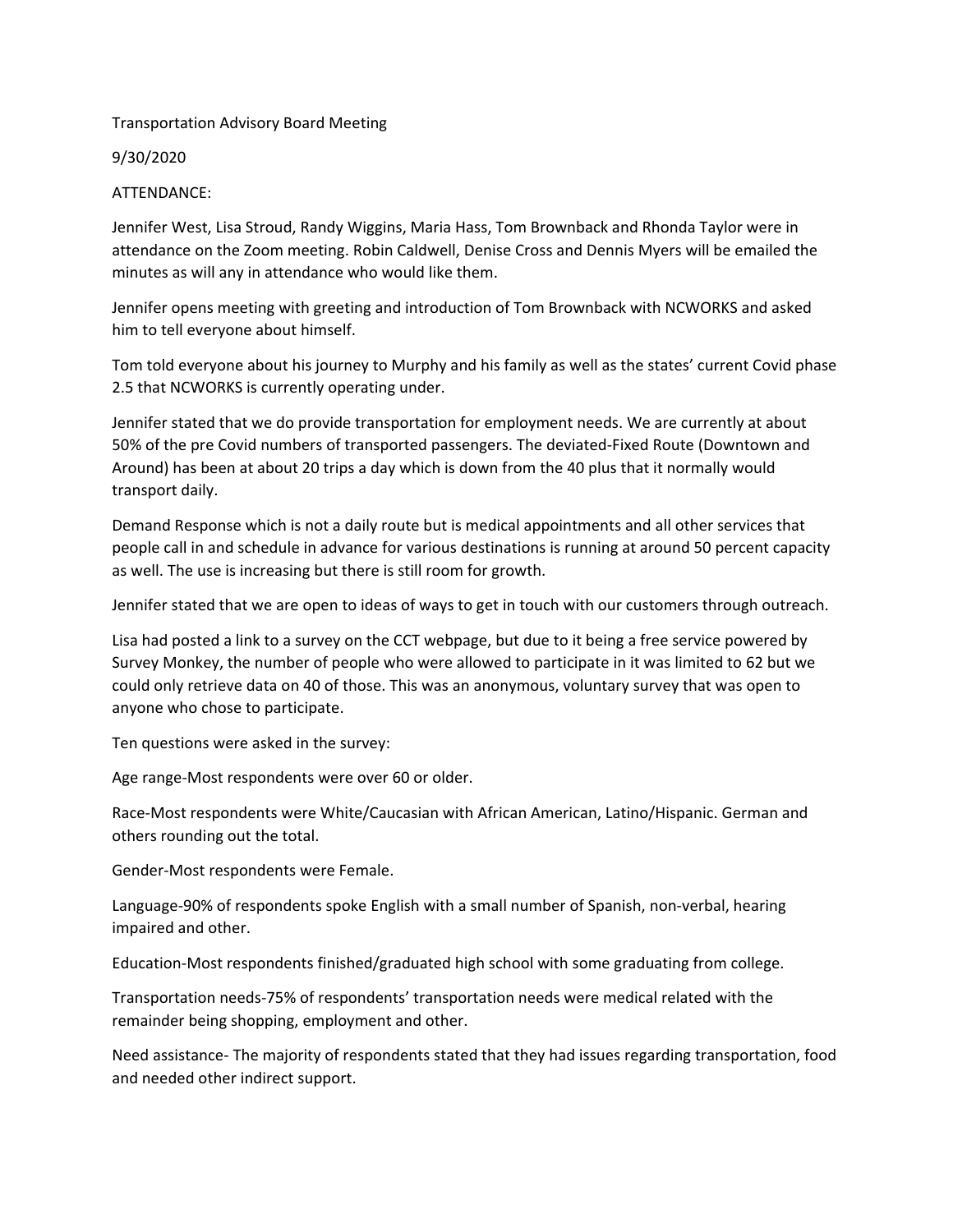## Transportation Advisory Board Meeting

9/30/2020

## ATTENDANCE:

Jennifer West, Lisa Stroud, Randy Wiggins, Maria Hass, Tom Brownback and Rhonda Taylor were in attendance on the Zoom meeting. Robin Caldwell, Denise Cross and Dennis Myers will be emailed the minutes as will any in attendance who would like them.

Jennifer opens meeting with greeting and introduction of Tom Brownback with NCWORKS and asked him to tell everyone about himself.

Tom told everyone about his journey to Murphy and his family as well as the states' current Covid phase 2.5 that NCWORKS is currently operating under.

Jennifer stated that we do provide transportation for employment needs. We are currently at about 50% of the pre Covid numbers of transported passengers. The deviated‐Fixed Route (Downtown and Around) has been at about 20 trips a day which is down from the 40 plus that it normally would transport daily.

Demand Response which is not a daily route but is medical appointments and all other services that people call in and schedule in advance for various destinations is running at around 50 percent capacity as well. The use is increasing but there is still room for growth.

Jennifer stated that we are open to ideas of ways to get in touch with our customers through outreach.

Lisa had posted a link to a survey on the CCT webpage, but due to it being a free service powered by Survey Monkey, the number of people who were allowed to participate in it was limited to 62 but we could only retrieve data on 40 of those. This was an anonymous, voluntary survey that was open to anyone who chose to participate.

Ten questions were asked in the survey:

Age range‐Most respondents were over 60 or older.

Race‐Most respondents were White/Caucasian with African American, Latino/Hispanic. German and others rounding out the total.

Gender‐Most respondents were Female.

Language-90% of respondents spoke English with a small number of Spanish, non-verbal, hearing impaired and other.

Education‐Most respondents finished/graduated high school with some graduating from college.

Transportation needs‐75% of respondents' transportation needs were medical related with the remainder being shopping, employment and other.

Need assistance‐ The majority of respondents stated that they had issues regarding transportation, food and needed other indirect support.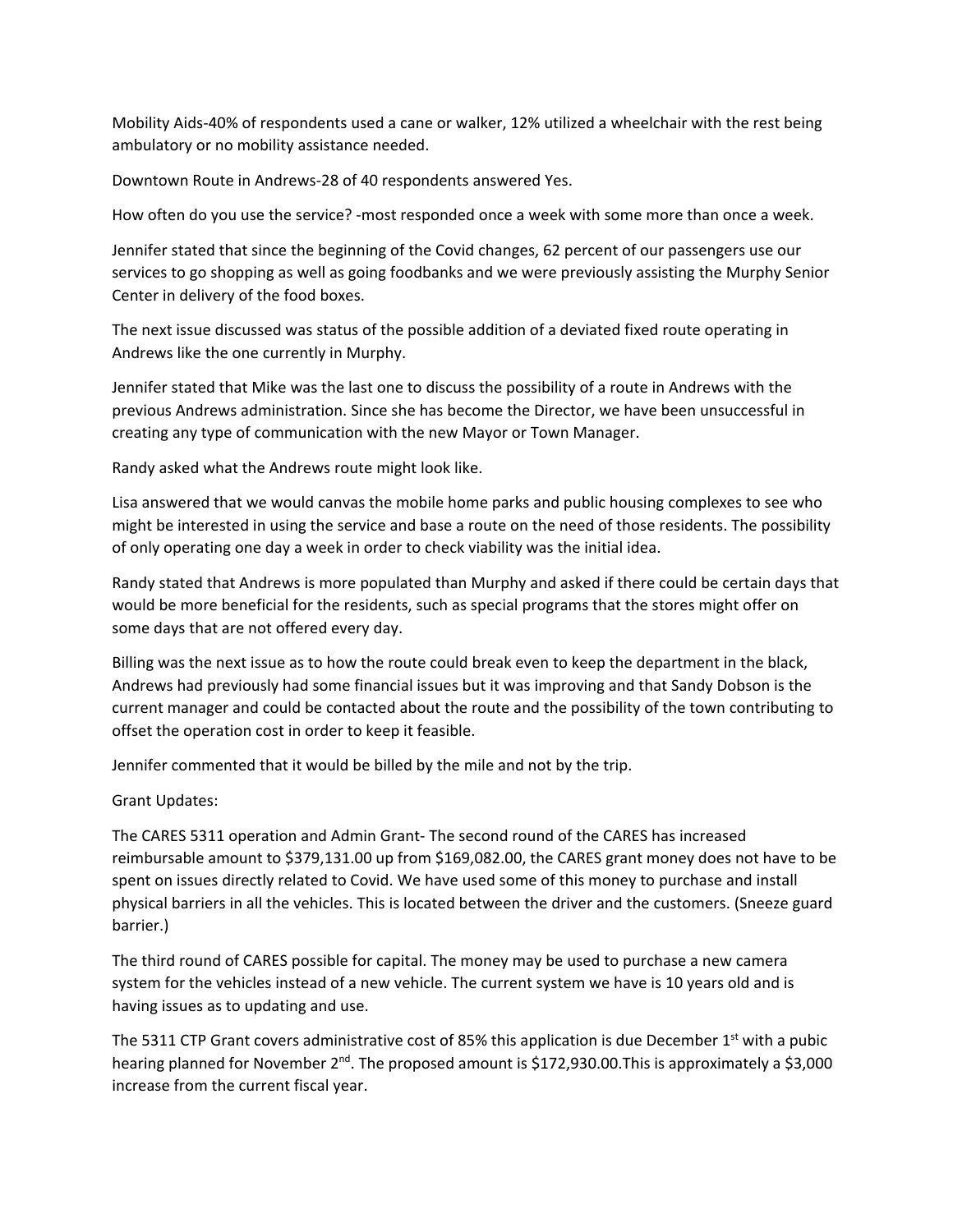Mobility Aids‐40% of respondents used a cane or walker, 12% utilized a wheelchair with the rest being ambulatory or no mobility assistance needed.

Downtown Route in Andrews‐28 of 40 respondents answered Yes.

How often do you use the service? ‐most responded once a week with some more than once a week.

Jennifer stated that since the beginning of the Covid changes, 62 percent of our passengers use our services to go shopping as well as going foodbanks and we were previously assisting the Murphy Senior Center in delivery of the food boxes.

The next issue discussed was status of the possible addition of a deviated fixed route operating in Andrews like the one currently in Murphy.

Jennifer stated that Mike was the last one to discuss the possibility of a route in Andrews with the previous Andrews administration. Since she has become the Director, we have been unsuccessful in creating any type of communication with the new Mayor or Town Manager.

Randy asked what the Andrews route might look like.

Lisa answered that we would canvas the mobile home parks and public housing complexes to see who might be interested in using the service and base a route on the need of those residents. The possibility of only operating one day a week in order to check viability was the initial idea.

Randy stated that Andrews is more populated than Murphy and asked if there could be certain days that would be more beneficial for the residents, such as special programs that the stores might offer on some days that are not offered every day.

Billing was the next issue as to how the route could break even to keep the department in the black, Andrews had previously had some financial issues but it was improving and that Sandy Dobson is the current manager and could be contacted about the route and the possibility of the town contributing to offset the operation cost in order to keep it feasible.

Jennifer commented that it would be billed by the mile and not by the trip.

Grant Updates:

The CARES 5311 operation and Admin Grant‐ The second round of the CARES has increased reimbursable amount to \$379,131.00 up from \$169,082.00, the CARES grant money does not have to be spent on issues directly related to Covid. We have used some of this money to purchase and install physical barriers in all the vehicles. This is located between the driver and the customers. (Sneeze guard barrier.)

The third round of CARES possible for capital. The money may be used to purchase a new camera system for the vehicles instead of a new vehicle. The current system we have is 10 years old and is having issues as to updating and use.

The 5311 CTP Grant covers administrative cost of 85% this application is due December  $1<sup>st</sup>$  with a pubic hearing planned for November 2<sup>nd</sup>. The proposed amount is \$172,930.00. This is approximately a \$3,000 increase from the current fiscal year.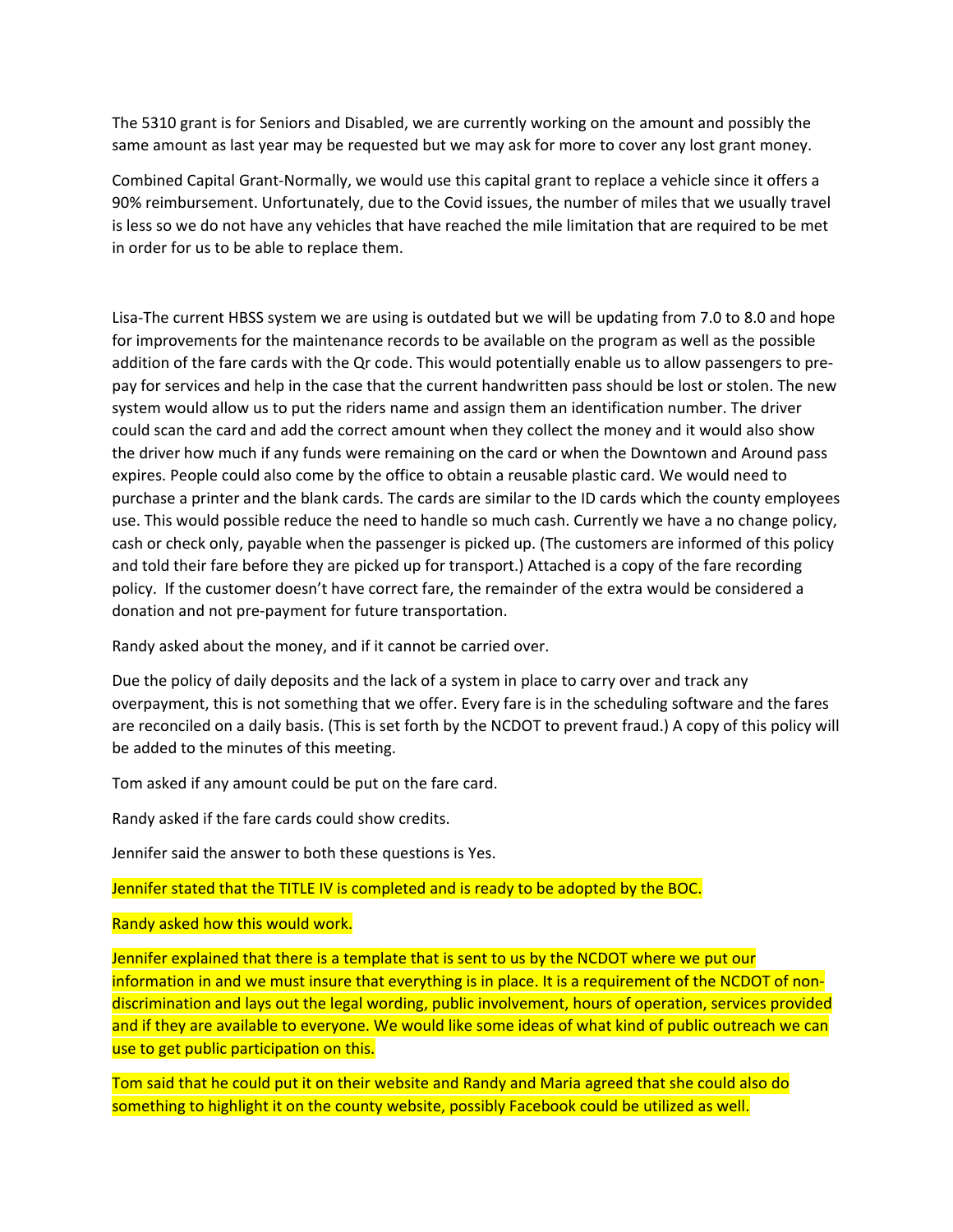The 5310 grant is for Seniors and Disabled, we are currently working on the amount and possibly the same amount as last year may be requested but we may ask for more to cover any lost grant money.

Combined Capital Grant‐Normally, we would use this capital grant to replace a vehicle since it offers a 90% reimbursement. Unfortunately, due to the Covid issues, the number of miles that we usually travel is less so we do not have any vehicles that have reached the mile limitation that are required to be met in order for us to be able to replace them.

Lisa‐The current HBSS system we are using is outdated but we will be updating from 7.0 to 8.0 and hope for improvements for the maintenance records to be available on the program as well as the possible addition of the fare cards with the Qr code. This would potentially enable us to allow passengers to pre‐ pay for services and help in the case that the current handwritten pass should be lost or stolen. The new system would allow us to put the riders name and assign them an identification number. The driver could scan the card and add the correct amount when they collect the money and it would also show the driver how much if any funds were remaining on the card or when the Downtown and Around pass expires. People could also come by the office to obtain a reusable plastic card. We would need to purchase a printer and the blank cards. The cards are similar to the ID cards which the county employees use. This would possible reduce the need to handle so much cash. Currently we have a no change policy, cash or check only, payable when the passenger is picked up. (The customers are informed of this policy and told their fare before they are picked up for transport.) Attached is a copy of the fare recording policy. If the customer doesn't have correct fare, the remainder of the extra would be considered a donation and not pre‐payment for future transportation.

Randy asked about the money, and if it cannot be carried over.

Due the policy of daily deposits and the lack of a system in place to carry over and track any overpayment, this is not something that we offer. Every fare is in the scheduling software and the fares are reconciled on a daily basis. (This is set forth by the NCDOT to prevent fraud.) A copy of this policy will be added to the minutes of this meeting.

Tom asked if any amount could be put on the fare card.

Randy asked if the fare cards could show credits.

Jennifer said the answer to both these questions is Yes.

Jennifer stated that the TITLE IV is completed and is ready to be adopted by the BOC.

## Randy asked how this would work.

Jennifer explained that there is a template that is sent to us by the NCDOT where we put our information in and we must insure that everything is in place. It is a requirement of the NCDOT of non‐ discrimination and lays out the legal wording, public involvement, hours of operation, services provided and if they are available to everyone. We would like some ideas of what kind of public outreach we can use to get public participation on this.

Tom said that he could put it on their website and Randy and Maria agreed that she could also do something to highlight it on the county website, possibly Facebook could be utilized as well.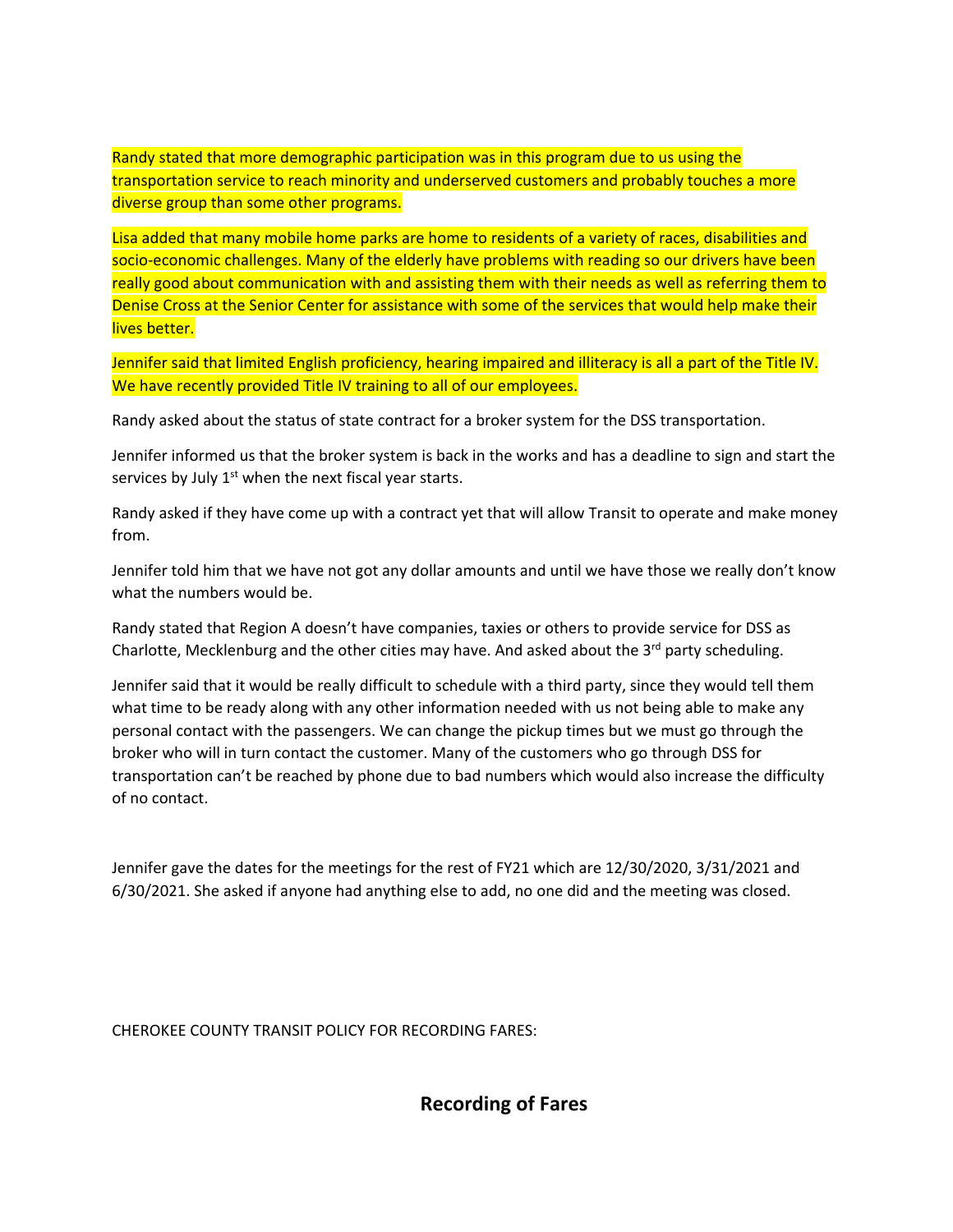Randy stated that more demographic participation was in this program due to us using the transportation service to reach minority and underserved customers and probably touches a more diverse group than some other programs.

Lisa added that many mobile home parks are home to residents of a variety of races, disabilities and socio-economic challenges. Many of the elderly have problems with reading so our drivers have been really good about communication with and assisting them with their needs as well as referring them to Denise Cross at the Senior Center for assistance with some of the services that would help make their lives better.

Jennifer said that limited English proficiency, hearing impaired and illiteracy is all a part of the Title IV. We have recently provided Title IV training to all of our employees.

Randy asked about the status of state contract for a broker system for the DSS transportation.

Jennifer informed us that the broker system is back in the works and has a deadline to sign and start the services by July  $1<sup>st</sup>$  when the next fiscal year starts.

Randy asked if they have come up with a contract yet that will allow Transit to operate and make money from.

Jennifer told him that we have not got any dollar amounts and until we have those we really don't know what the numbers would be.

Randy stated that Region A doesn't have companies, taxies or others to provide service for DSS as Charlotte, Mecklenburg and the other cities may have. And asked about the  $3^{rd}$  party scheduling.

Jennifer said that it would be really difficult to schedule with a third party, since they would tell them what time to be ready along with any other information needed with us not being able to make any personal contact with the passengers. We can change the pickup times but we must go through the broker who will in turn contact the customer. Many of the customers who go through DSS for transportation can't be reached by phone due to bad numbers which would also increase the difficulty of no contact.

Jennifer gave the dates for the meetings for the rest of FY21 which are 12/30/2020, 3/31/2021 and 6/30/2021. She asked if anyone had anything else to add, no one did and the meeting was closed.

CHEROKEE COUNTY TRANSIT POLICY FOR RECORDING FARES:

**Recording of Fares**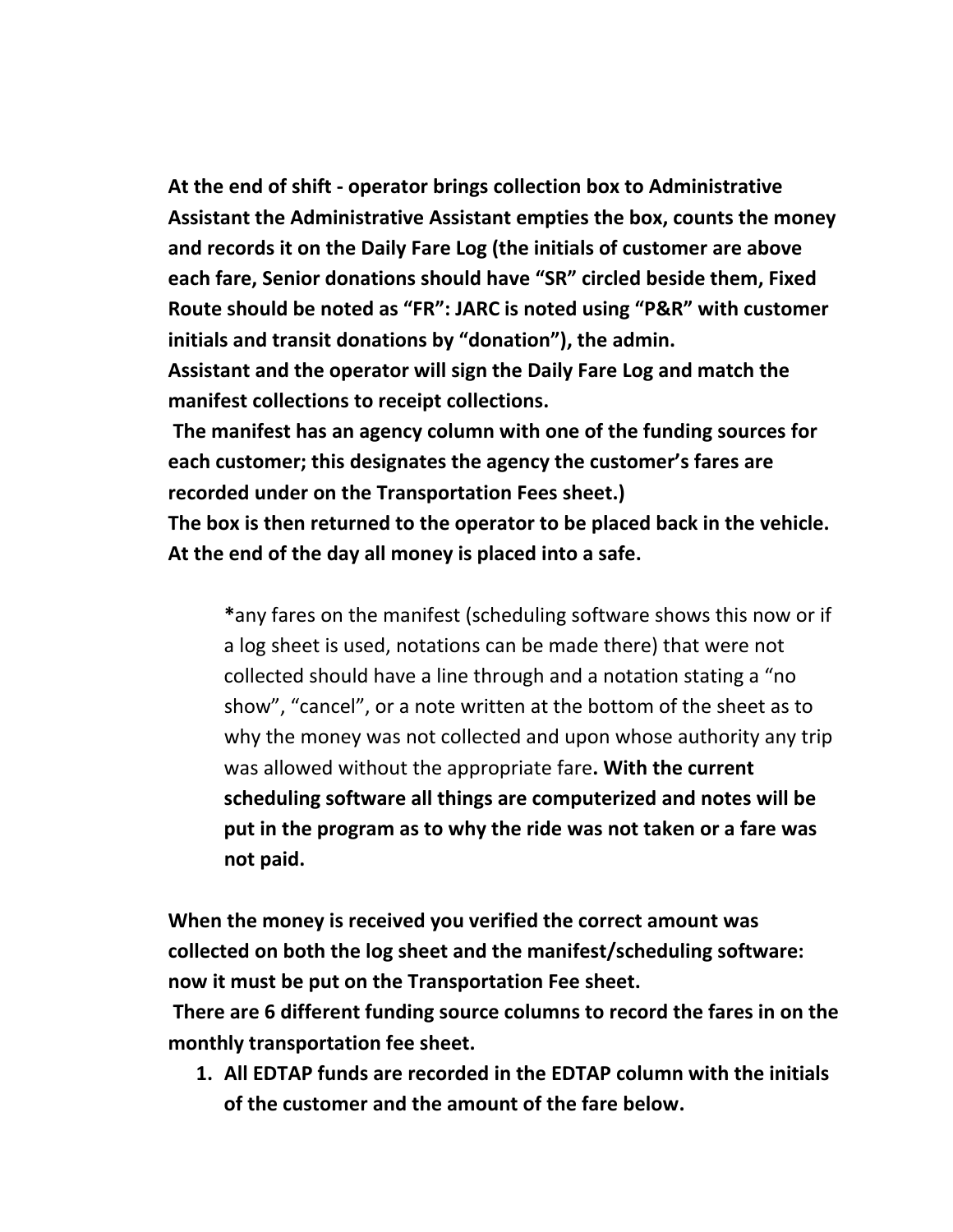**At the end of shift ‐ operator brings collection box to Administrative Assistant the Administrative Assistant empties the box, counts the money and records it on the Daily Fare Log (the initials of customer are above each fare, Senior donations should have "SR" circled beside them, Fixed Route should be noted as "FR": JARC is noted using "P&R" with customer initials and transit donations by "donation"), the admin.** 

**Assistant and the operator will sign the Daily Fare Log and match the manifest collections to receipt collections.**

**The manifest has an agency column with one of the funding sources for each customer; this designates the agency the customer's fares are recorded under on the Transportation Fees sheet.)** 

**The box is then returned to the operator to be placed back in the vehicle. At the end of the day all money is placed into a safe.**

**\***any fares on the manifest (scheduling software shows this now or if a log sheet is used, notations can be made there) that were not collected should have a line through and a notation stating a "no show", "cancel", or a note written at the bottom of the sheet as to why the money was not collected and upon whose authority any trip was allowed without the appropriate fare**. With the current scheduling software all things are computerized and notes will be put in the program as to why the ride was not taken or a fare was not paid.**

**When the money is received you verified the correct amount was collected on both the log sheet and the manifest/scheduling software: now it must be put on the Transportation Fee sheet.**

**There are 6 different funding source columns to record the fares in on the monthly transportation fee sheet.** 

**1. All EDTAP funds are recorded in the EDTAP column with the initials of the customer and the amount of the fare below.**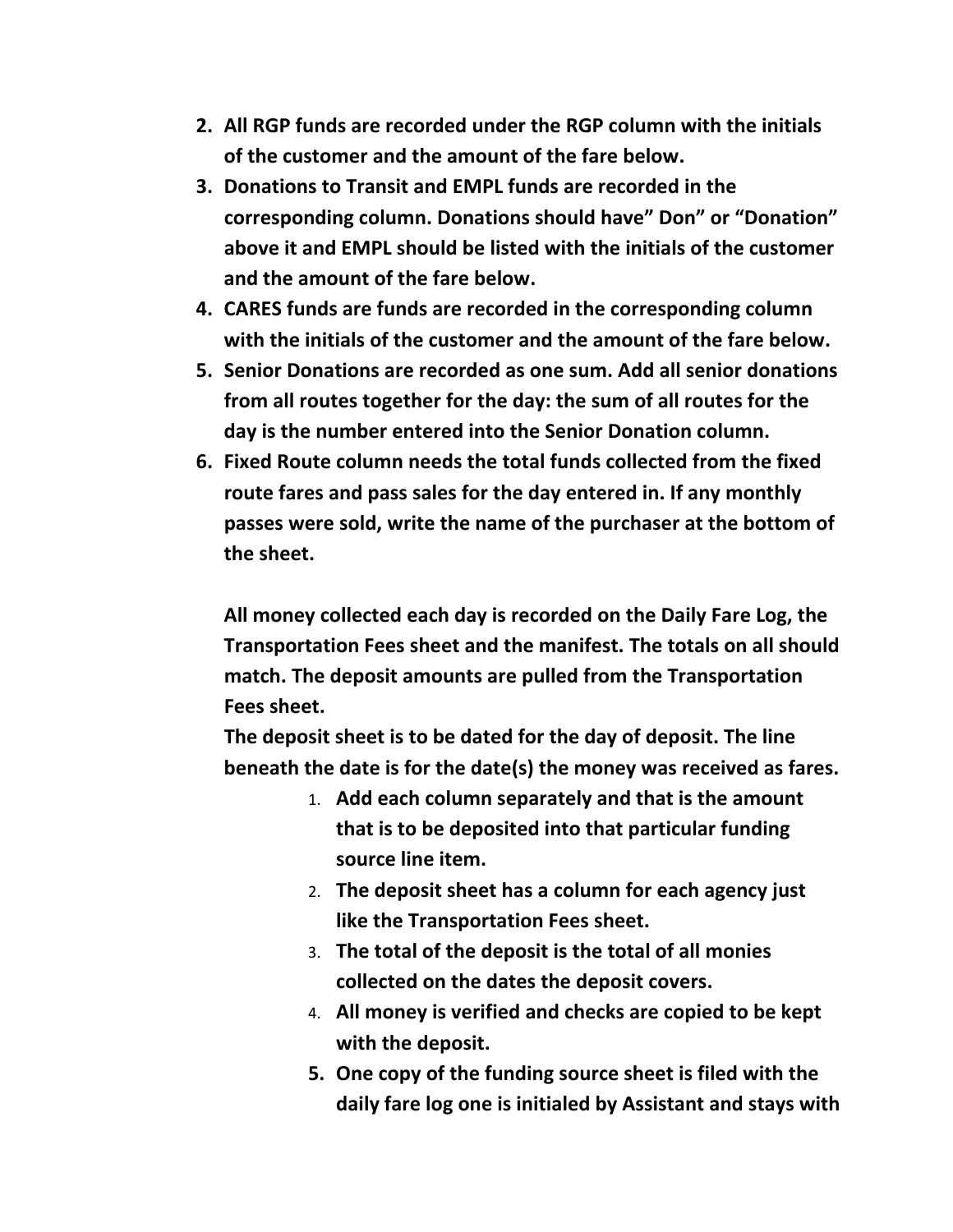- **2. All RGP funds are recorded under the RGP column with the initials of the customer and the amount of the fare below.**
- **3. Donations to Transit and EMPL funds are recorded in the corresponding column. Donations should have" Don" or "Donation" above it and EMPL should be listed with the initials of the customer and the amount of the fare below.**
- **4. CARES funds are funds are recorded in the corresponding column with the initials of the customer and the amount of the fare below.**
- **5. Senior Donations are recorded as one sum. Add all senior donations from all routes together for the day: the sum of all routes for the day is the number entered into the Senior Donation column.**
- **6. Fixed Route column needs the total funds collected from the fixed route fares and pass sales for the day entered in. If any monthly passes were sold, write the name of the purchaser at the bottom of the sheet.**

**All money collected each day is recorded on the Daily Fare Log, the Transportation Fees sheet and the manifest. The totals on all should match. The deposit amounts are pulled from the Transportation Fees sheet.**

**The deposit sheet is to be dated for the day of deposit. The line beneath the date is for the date(s) the money was received as fares.**

- 1. **Add each column separately and that is the amount that is to be deposited into that particular funding source line item.**
- 2. **The deposit sheet has a column for each agency just like the Transportation Fees sheet.**
- 3. **The total of the deposit is the total of all monies collected on the dates the deposit covers.**
- 4. **All money is verified and checks are copied to be kept with the deposit.**
- **5. One copy of the funding source sheet is filed with the daily fare log one is initialed by Assistant and stays with**